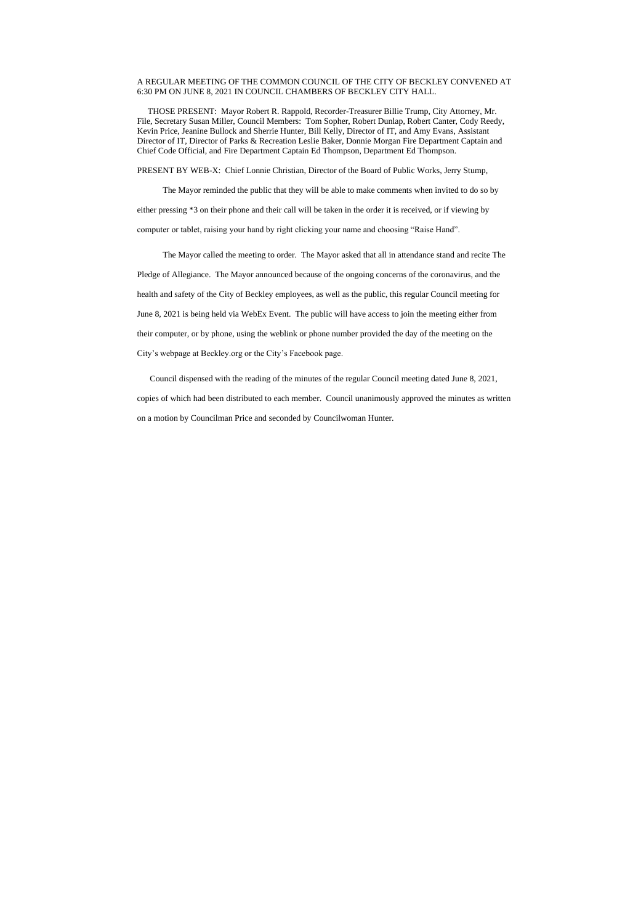## A REGULAR MEETING OF THE COMMON COUNCIL OF THE CITY OF BECKLEY CONVENED AT 6:30 PM ON JUNE 8, 2021 IN COUNCIL CHAMBERS OF BECKLEY CITY HALL.

 THOSE PRESENT: Mayor Robert R. Rappold, Recorder-Treasurer Billie Trump, City Attorney, Mr. File, Secretary Susan Miller, Council Members: Tom Sopher, Robert Dunlap, Robert Canter, Cody Reedy, Kevin Price, Jeanine Bullock and Sherrie Hunter, Bill Kelly, Director of IT, and Amy Evans, Assistant Director of IT, Director of Parks & Recreation Leslie Baker, Donnie Morgan Fire Department Captain and Chief Code Official, and Fire Department Captain Ed Thompson, Department Ed Thompson.

PRESENT BY WEB-X: Chief Lonnie Christian, Director of the Board of Public Works, Jerry Stump,

The Mayor reminded the public that they will be able to make comments when invited to do so by either pressing \*3 on their phone and their call will be taken in the order it is received, or if viewing by computer or tablet, raising your hand by right clicking your name and choosing "Raise Hand".

The Mayor called the meeting to order. The Mayor asked that all in attendance stand and recite The Pledge of Allegiance. The Mayor announced because of the ongoing concerns of the coronavirus, and the health and safety of the City of Beckley employees, as well as the public, this regular Council meeting for June 8, 2021 is being held via WebEx Event. The public will have access to join the meeting either from their computer, or by phone, using the weblink or phone number provided the day of the meeting on the City's webpage at Beckley.org or the City's Facebook page.

 Council dispensed with the reading of the minutes of the regular Council meeting dated June 8, 2021, copies of which had been distributed to each member. Council unanimously approved the minutes as written on a motion by Councilman Price and seconded by Councilwoman Hunter.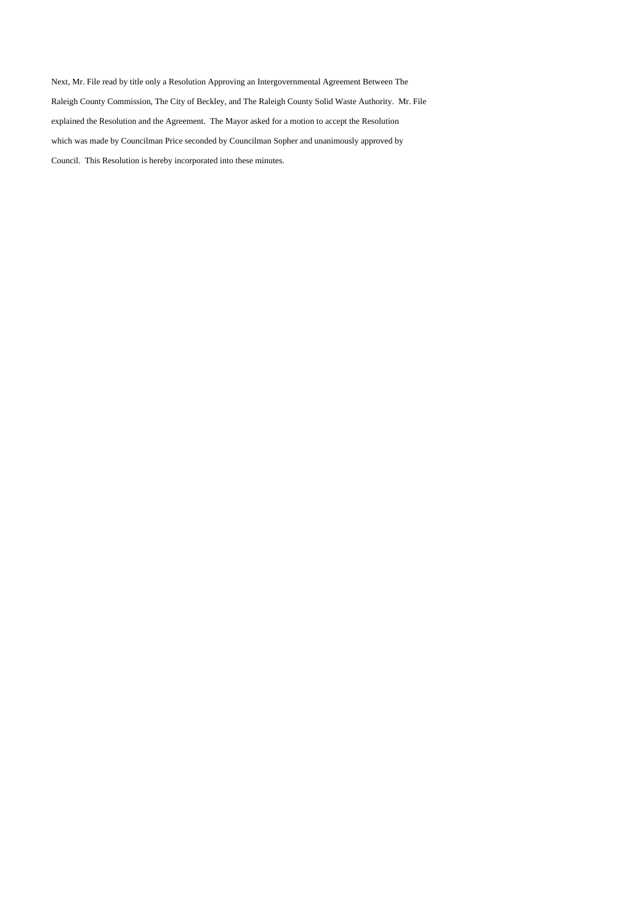Next, Mr. File read by title only a Resolution Approving an Intergovernmental Agreement Between The Raleigh County Commission, The City of Beckley, and The Raleigh County Solid Waste Authority. Mr. File explained the Resolution and the Agreement. The Mayor asked for a motion to accept the Resolution which was made by Councilman Price seconded by Councilman Sopher and unanimously approved by Council. This Resolution is hereby incorporated into these minutes.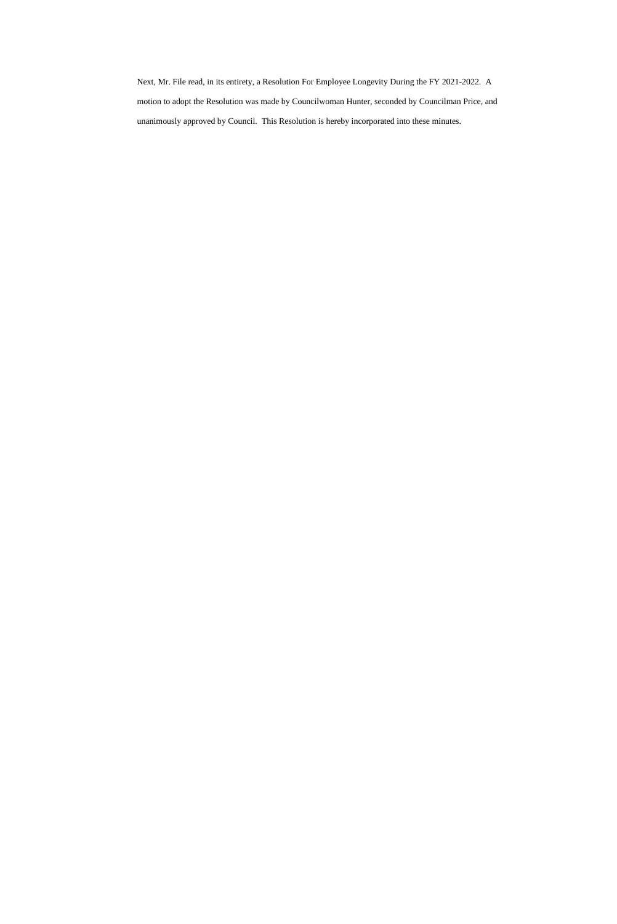Next, Mr. File read, in its entirety, a Resolution For Employee Longevity During the FY 2021-2022. A motion to adopt the Resolution was made by Councilwoman Hunter, seconded by Councilman Price, and unanimously approved by Council. This Resolution is hereby incorporated into these minutes.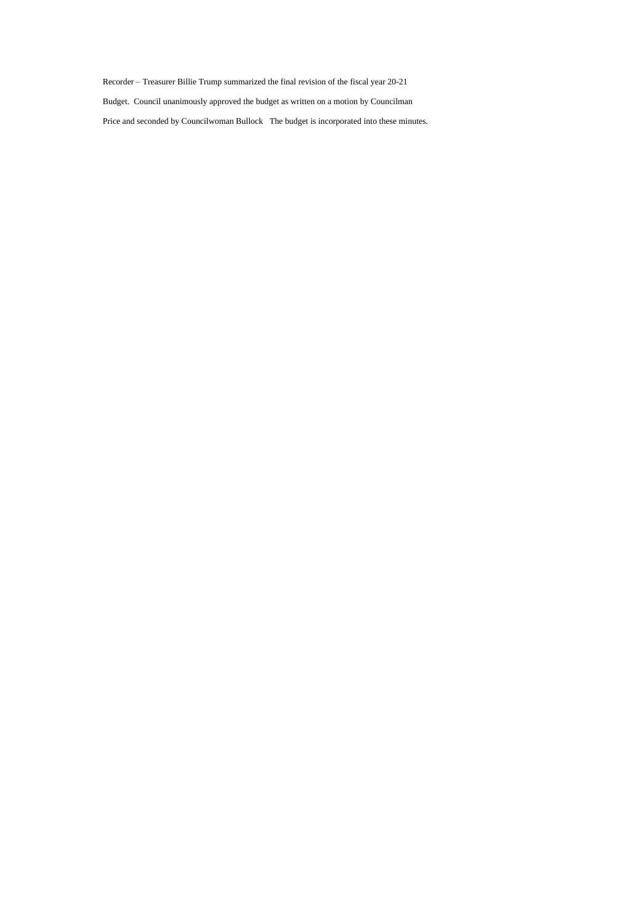Recorder – Treasurer Billie Trump summarized the final revision of the fiscal year 20-21 Budget. Council unanimously approved the budget as written on a motion by Councilman Price and seconded by Councilwoman Bullock The budget is incorporated into these minutes.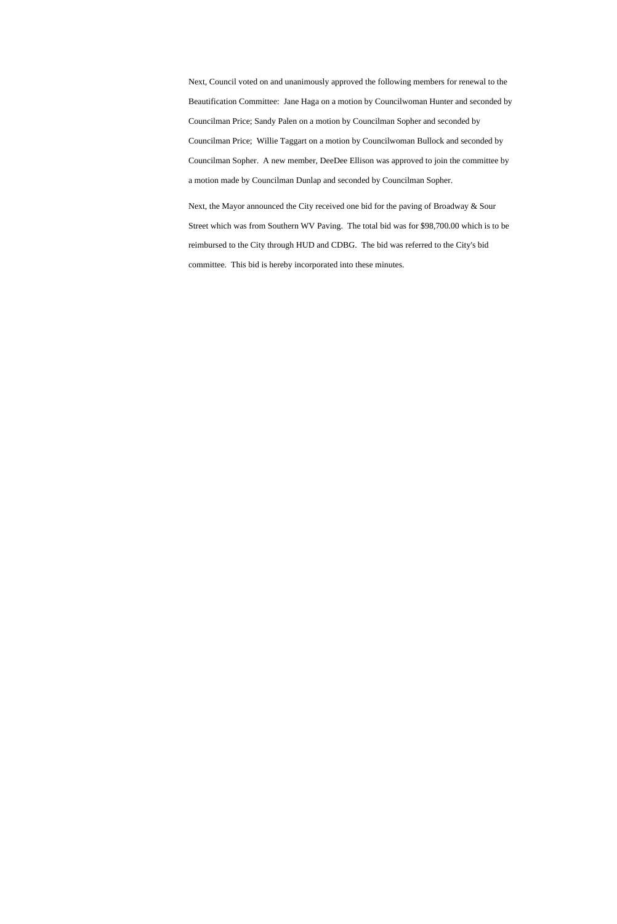Next, Council voted on and unanimously approved the following members for renewal to the Beautification Committee: Jane Haga on a motion by Councilwoman Hunter and seconded by Councilman Price; Sandy Palen on a motion by Councilman Sopher and seconded by Councilman Price; Willie Taggart on a motion by Councilwoman Bullock and seconded by Councilman Sopher. A new member, DeeDee Ellison was approved to join the committee by a motion made by Councilman Dunlap and seconded by Councilman Sopher.

Next, the Mayor announced the City received one bid for the paving of Broadway & Sour Street which was from Southern WV Paving. The total bid was for \$98,700.00 which is to be reimbursed to the City through HUD and CDBG. The bid was referred to the City's bid committee. This bid is hereby incorporated into these minutes.